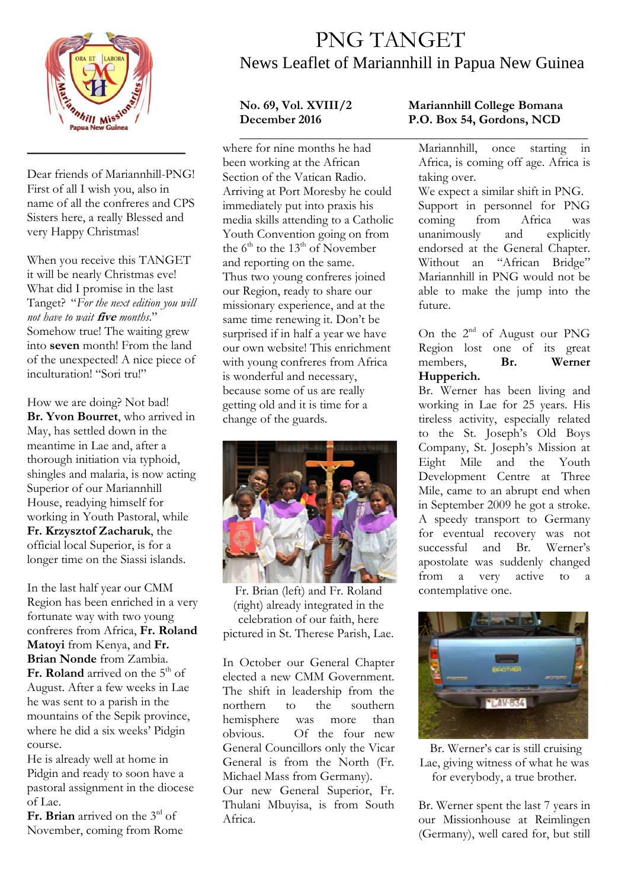

Dear friends of Mariannhill-PNG! First of all I wish you, also in name of all the confreres and CPS Sisters here, a really Blessed and very Happy Christmas!

\_\_\_\_\_\_\_\_\_\_\_\_\_\_\_\_\_\_\_\_\_\_\_\_\_

When you receive this TANGET it will be nearly Christmas eve! What did I promise in the last Tanget? "*For the next edition you will not have to wait* **five** *months*." Somehow true! The waiting grew into **seven** month! From the land of the unexpected! A nice piece of inculturation! "Sori tru!"

How we are doing? Not bad! **Br. Yvon Bourret**, who arrived in May, has settled down in the meantime in Lae and, after a thorough initiation via typhoid, shingles and malaria, is now acting Superior of our Mariannhill House, readying himself for working in Youth Pastoral, while **Fr. Krzysztof Zacharuk**, the official local Superior, is for a longer time on the Siassi islands.

In the last half year our CMM Region has been enriched in a very fortunate way with two young confreres from Africa, **Fr. Roland Matoyi** from Kenya, and **Fr. Brian Nonde** from Zambia. **Fr. Roland** arrived on the 5<sup>th</sup> of August. After a few weeks in Lae he was sent to a parish in the mountains of the Sepik province, where he did a six weeks' Pidgin course.

He is already well at home in Pidgin and ready to soon have a pastoral assignment in the diocese of Lae.

Fr. Brian arrived on the 3<sup>rd</sup> of November, coming from Rome

## PNG TANGET News Leaflet of Mariannhill in Papua New Guinea

**\_\_\_\_\_\_\_\_\_\_\_\_\_\_\_\_\_\_\_\_\_\_\_\_\_\_\_\_\_\_\_\_\_\_\_\_\_\_\_\_\_\_\_\_\_\_\_\_\_\_\_\_\_\_\_**  where for nine months he had been working at the African Section of the Vatican Radio. Arriving at Port Moresby he could immediately put into praxis his media skills attending to a Catholic Youth Convention going on from the  $6<sup>th</sup>$  to the 13<sup>th</sup> of November and reporting on the same. Thus two young confreres joined our Region, ready to share our missionary experience, and at the same time renewing it. Don't be surprised if in half a year we have our own website! This enrichment with young confreres from Africa is wonderful and necessary, because some of us are really getting old and it is time for a change of the guards.



Fr. Brian (left) and Fr. Roland (right) already integrated in the celebration of our faith, here pictured in St. Therese Parish, Lae.

In October our General Chapter elected a new CMM Government. The shift in leadership from the northern to the southern hemisphere was more than obvious. Of the four new General Councillors only the Vicar General is from the North (Fr. Michael Mass from Germany).

Our new General Superior, Fr. Thulani Mbuyisa, is from South Africa.

## **No. 69, Vol. XVIII/2 Mariannhill College Bomana**  P.O. Box 54, Gordons, NCD

Mariannhill, once starting in Africa, is coming off age. Africa is taking over.

We expect a similar shift in PNG. Support in personnel for PNG coming from Africa was unanimously and explicitly endorsed at the General Chapter. Without an "African Bridge" Mariannhill in PNG would not be able to make the jump into the future.

On the  $2^{nd}$  of August our PNG Region lost one of its great<br>members. **Br.** Werner members. **Hupperich.** 

Br. Werner has been living and working in Lae for 25 years. His tireless activity, especially related to the St. Joseph's Old Boys Company, St. Joseph's Mission at Eight Mile and the Youth Development Centre at Three Mile, came to an abrupt end when in September 2009 he got a stroke. A speedy transport to Germany for eventual recovery was not successful and Br. Werner's apostolate was suddenly changed from a very active to a contemplative one.



 Br. Werner's car is still cruising Lae, giving witness of what he was for everybody, a true brother.

Br. Werner spent the last 7 years in our Missionhouse at Reimlingen (Germany), well cared for, but still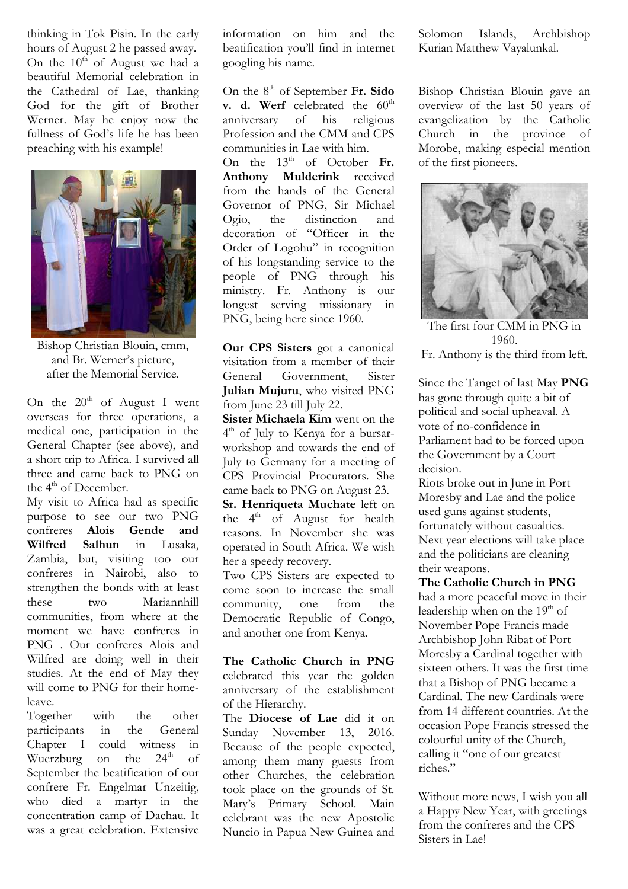thinking in Tok Pisin. In the early hours of August 2 he passed away. On the  $10^{th}$  of August we had a beautiful Memorial celebration in the Cathedral of Lae, thanking God for the gift of Brother Werner. May he enjoy now the fullness of God's life he has been preaching with his example!



Bishop Christian Blouin, cmm, and Br. Werner's picture, after the Memorial Service.

On the  $20<sup>th</sup>$  of August I went overseas for three operations, a medical one, participation in the General Chapter (see above), and a short trip to Africa. I survived all three and came back to PNG on the 4<sup>th</sup> of December.

My visit to Africa had as specific purpose to see our two PNG confreres **Alois Gende and Wilfred Salhun** in Lusaka, Zambia, but, visiting too our confreres in Nairobi, also to strengthen the bonds with at least these two Mariannhill communities, from where at the moment we have confreres in PNG . Our confreres Alois and Wilfred are doing well in their studies. At the end of May they will come to PNG for their homeleave.

Together with the other participants in the General Chapter I could witness in Wuerzburg on the  $24<sup>th</sup>$  of September the beatification of our confrere Fr. Engelmar Unzeitig, who died a martyr in the concentration camp of Dachau. It was a great celebration. Extensive information on him and the beatification you'll find in internet googling his name.

On the 8<sup>th</sup> of September Fr. Sido **v. d. Werf** celebrated the  $60^{\text{th}}$ anniversary of his religious Profession and the CMM and CPS communities in Lae with him.

On the 13<sup>th</sup> of October Fr. **Anthony Mulderink** received from the hands of the General Governor of PNG, Sir Michael<br>Ogio, the distinction and the distinction and decoration of "Officer in the Order of Logohu" in recognition of his longstanding service to the people of PNG through his ministry. Fr. Anthony is our longest serving missionary in PNG, being here since 1960.

**Our CPS Sisters** got a canonical visitation from a member of their<br>General Government. Sister General Government, **Julian Mujuru**, who visited PNG from June 23 till July 22.

**Sister Michaela Kim** went on the 4 th of July to Kenya for a bursarworkshop and towards the end of July to Germany for a meeting of CPS Provincial Procurators. She came back to PNG on August 23.

**Sr. Henriqueta Muchate** left on the  $4<sup>th</sup>$  of August for health reasons. In November she was operated in South Africa. We wish her a speedy recovery.

Two CPS Sisters are expected to come soon to increase the small community, one from the Democratic Republic of Congo, and another one from Kenya.

**The Catholic Church in PNG** celebrated this year the golden anniversary of the establishment of the Hierarchy.

The **Diocese of Lae** did it on Sunday November 13, 2016. Because of the people expected, among them many guests from other Churches, the celebration took place on the grounds of St. Mary's Primary School. Main celebrant was the new Apostolic Nuncio in Papua New Guinea and

Solomon Islands, Archbishop Kurian Matthew Vayalunkal.

Bishop Christian Blouin gave an overview of the last 50 years of evangelization by the Catholic Church in the province of Morobe, making especial mention of the first pioneers.



The first four CMM in PNG in 1960. Fr. Anthony is the third from left.

Since the Tanget of last May **PNG**  has gone through quite a bit of political and social upheaval. A vote of no-confidence in Parliament had to be forced upon the Government by a Court decision.

Riots broke out in June in Port Moresby and Lae and the police used guns against students, fortunately without casualties. Next year elections will take place and the politicians are cleaning their weapons.

**The Catholic Church in PNG**  had a more peaceful move in their leadership when on the 19<sup>th</sup> of November Pope Francis made Archbishop John Ribat of Port Moresby a Cardinal together with sixteen others. It was the first time that a Bishop of PNG became a Cardinal. The new Cardinals were from 14 different countries. At the occasion Pope Francis stressed the colourful unity of the Church, calling it "one of our greatest riches."

Without more news, I wish you all a Happy New Year, with greetings from the confreres and the CPS Sisters in Lae!